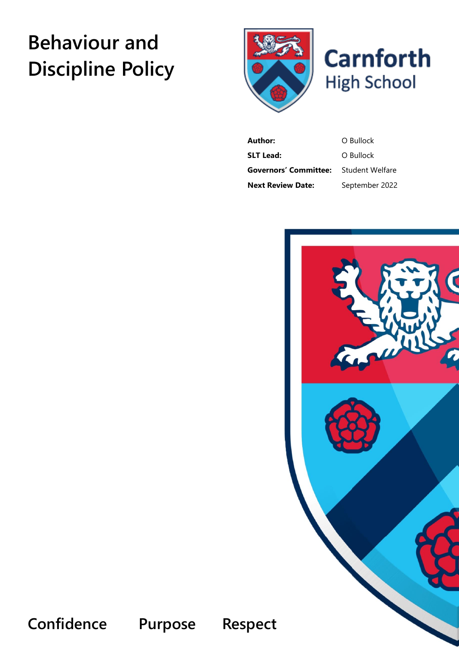# **Behaviour and Discipline Policy**





**Author:** O Bullock **SLT Lead:** O Bullock **Governors' Committee:** Student Welfare **Next Review Date:** September 2022



**Confidence Purpose Respect**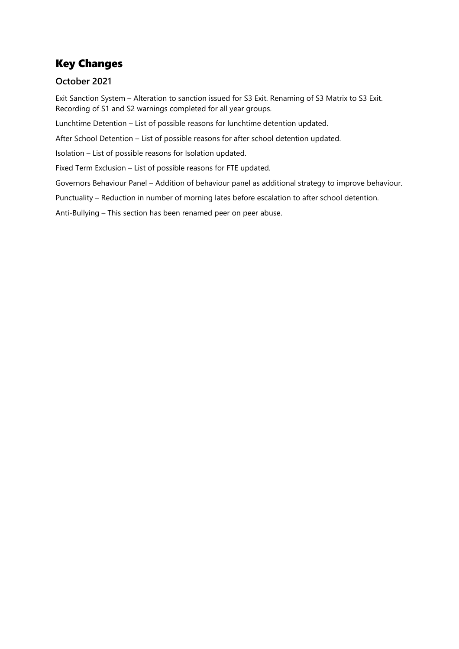# Key Changes

# **October 2021**

Exit Sanction System – Alteration to sanction issued for S3 Exit. Renaming of S3 Matrix to S3 Exit. Recording of S1 and S2 warnings completed for all year groups.

Lunchtime Detention – List of possible reasons for lunchtime detention updated.

After School Detention – List of possible reasons for after school detention updated.

Isolation – List of possible reasons for Isolation updated.

Fixed Term Exclusion – List of possible reasons for FTE updated.

Governors Behaviour Panel – Addition of behaviour panel as additional strategy to improve behaviour.

Punctuality – Reduction in number of morning lates before escalation to after school detention.

Anti-Bullying – This section has been renamed peer on peer abuse.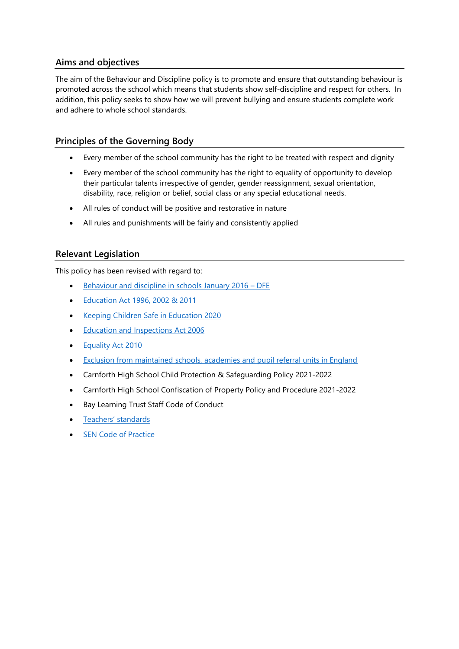# **Aims and objectives**

The aim of the Behaviour and Discipline policy is to promote and ensure that outstanding behaviour is promoted across the school which means that students show self-discipline and respect for others. In addition, this policy seeks to show how we will prevent bullying and ensure students complete work and adhere to whole school standards.

# **Principles of the Governing Body**

- Every member of the school community has the right to be treated with respect and dignity
- Every member of the school community has the right to equality of opportunity to develop their particular talents irrespective of gender, gender reassignment, sexual orientation, disability, race, religion or belief, social class or any special educational needs.
- All rules of conduct will be positive and restorative in nature
- All rules and punishments will be fairly and consistently applied

# **Relevant Legislation**

This policy has been revised with regard to:

- [Behaviour and discipline in schools January 2016](https://www.gov.uk/government/publications/behaviour-and-discipline-in-schools)  DFE
- [Education Act 1996, 2002 & 2011](https://www.legislation.gov.uk/ukpga/2011/21/contents/enacted)
- [Keeping Children Safe in Education 2020](https://www.gov.uk/government/publications/keeping-children-safe-in-education--2)
- [Education and Inspections Act 2006](https://www.legislation.gov.uk/ukpga/2006/40/contents)
- [Equality Act 2010](https://www.legislation.gov.uk/ukpga/2010/15/contents)
- [Exclusion from maintained schools, academies and pupil referral units in England](https://www.gov.uk/government/publications/school-exclusion)
- Carnforth High School Child Protection & Safeguarding Policy 2021-2022
- Carnforth High School Confiscation of Property Policy and Procedure 2021-2022
- Bay Learning Trust Staff Code of Conduct
- [Teachers' standards](https://www.gov.uk/government/publications/teachers-standards)
- **[SEN Code of Practice](https://www.gov.uk/government/publications/send-code-of-practice-0-to-25)**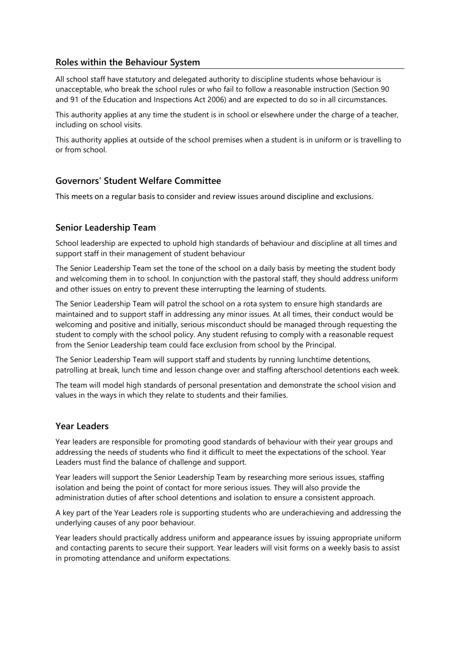#### **Roles within the Behaviour System**

All school staff have statutory and delegated authority to discipline students whose behaviour is unacceptable, who break the school rules or who fail to follow a reasonable instruction (Section 90 and 91 of the Education and Inspections Act 2006) and are expected to do so in all circumstances.

This authority applies at any time the student is in school or elsewhere under the charge of a teacher, including on school visits.

This authority applies at outside of the school premises when a student is in uniform or is travelling to or from school.

#### **Governors' Student Welfare Committee**

This meets on a regular basis to consider and review issues around discipline and exclusions.

#### **Senior Leadership Team**

School leadership are expected to uphold high standards of behaviour and discipline at all times and support staff in their management of student behaviour

The Senior Leadership Team set the tone of the school on a daily basis by meeting the student body and welcoming them in to school. In conjunction with the pastoral staff, they should address uniform and other issues on entry to prevent these interrupting the learning of students.

The Senior Leadership Team will patrol the school on a rota system to ensure high standards are maintained and to support staff in addressing any minor issues. At all times, their conduct would be welcoming and positive and initially, serious misconduct should be managed through requesting the student to comply with the school policy. Any student refusing to comply with a reasonable request from the Senior Leadership team could face exclusion from school by the Principal.

The Senior Leadership Team will support staff and students by running lunchtime detentions, patrolling at break, lunch time and lesson change over and staffing afterschool detentions each week.

The team will model high standards of personal presentation and demonstrate the school vision and values in the ways in which they relate to students and their families.

#### **Year Leaders**

Year leaders are responsible for promoting good standards of behaviour with their year groups and addressing the needs of students who find it difficult to meet the expectations of the school. Year Leaders must find the balance of challenge and support.

Year leaders will support the Senior Leadership Team by researching more serious issues, staffing isolation and being the point of contact for more serious issues. They will also provide the administration duties of after school detentions and isolation to ensure a consistent approach.

A key part of the Year Leaders role is supporting students who are underachieving and addressing the underlying causes of any poor behaviour.

Year leaders should practically address uniform and appearance issues by issuing appropriate uniform and contacting parents to secure their support. Year leaders will visit forms on a weekly basis to assist in promoting attendance and uniform expectations.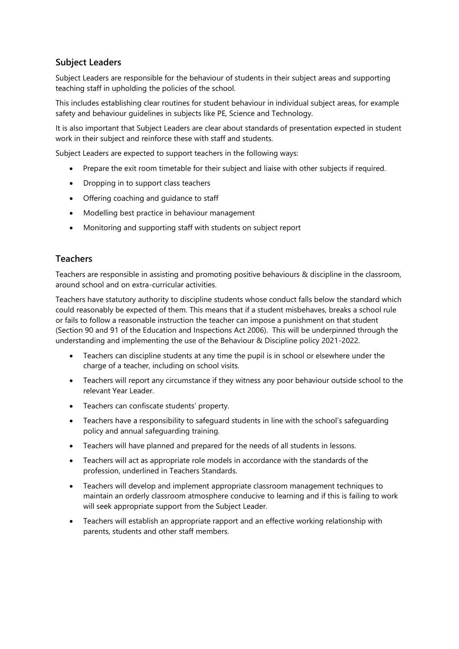# **Subject Leaders**

Subject Leaders are responsible for the behaviour of students in their subject areas and supporting teaching staff in upholding the policies of the school.

This includes establishing clear routines for student behaviour in individual subject areas, for example safety and behaviour guidelines in subjects like PE, Science and Technology.

It is also important that Subject Leaders are clear about standards of presentation expected in student work in their subject and reinforce these with staff and students.

Subject Leaders are expected to support teachers in the following ways:

- Prepare the exit room timetable for their subject and liaise with other subjects if required.
- Dropping in to support class teachers
- Offering coaching and guidance to staff
- Modelling best practice in behaviour management
- Monitoring and supporting staff with students on subject report

#### **Teachers**

Teachers are responsible in assisting and promoting positive behaviours & discipline in the classroom, around school and on extra-curricular activities.

Teachers have statutory authority to discipline students whose conduct falls below the standard which could reasonably be expected of them. This means that if a student misbehaves, breaks a school rule or fails to follow a reasonable instruction the teacher can impose a punishment on that student (Section 90 and 91 of the Education and Inspections Act 2006). This will be underpinned through the understanding and implementing the use of the Behaviour & Discipline policy 2021-2022.

- Teachers can discipline students at any time the pupil is in school or elsewhere under the charge of a teacher, including on school visits.
- Teachers will report any circumstance if they witness any poor behaviour outside school to the relevant Year Leader.
- Teachers can confiscate students' property.
- Teachers have a responsibility to safeguard students in line with the school's safeguarding policy and annual safeguarding training.
- Teachers will have planned and prepared for the needs of all students in lessons.
- Teachers will act as appropriate role models in accordance with the standards of the profession, underlined in Teachers Standards.
- Teachers will develop and implement appropriate classroom management techniques to maintain an orderly classroom atmosphere conducive to learning and if this is failing to work will seek appropriate support from the Subject Leader.
- Teachers will establish an appropriate rapport and an effective working relationship with parents, students and other staff members.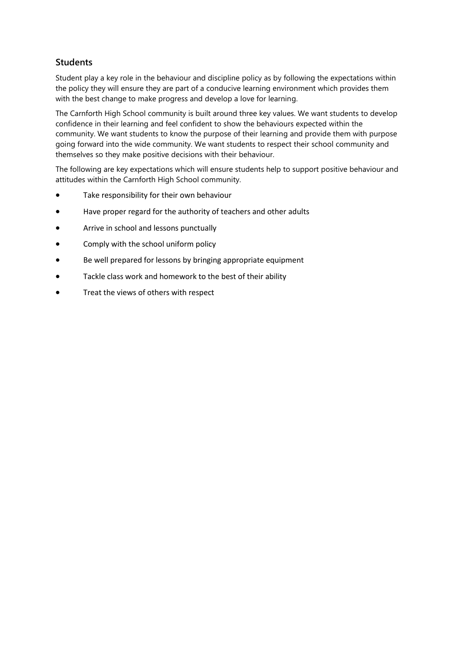# **Students**

Student play a key role in the behaviour and discipline policy as by following the expectations within the policy they will ensure they are part of a conducive learning environment which provides them with the best change to make progress and develop a love for learning.

The Carnforth High School community is built around three key values. We want students to develop confidence in their learning and feel confident to show the behaviours expected within the community. We want students to know the purpose of their learning and provide them with purpose going forward into the wide community. We want students to respect their school community and themselves so they make positive decisions with their behaviour.

The following are key expectations which will ensure students help to support positive behaviour and attitudes within the Carnforth High School community.

- Take responsibility for their own behaviour
- Have proper regard for the authority of teachers and other adults
- Arrive in school and lessons punctually
- Comply with the school uniform policy
- Be well prepared for lessons by bringing appropriate equipment
- Tackle class work and homework to the best of their ability
- Treat the views of others with respect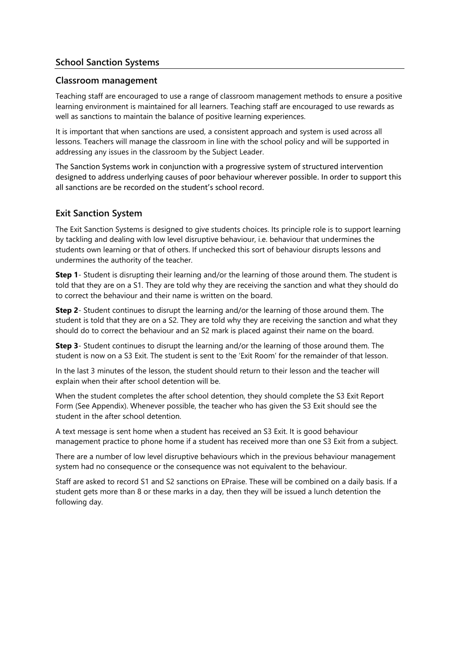# **School Sanction Systems**

#### **Classroom management**

Teaching staff are encouraged to use a range of classroom management methods to ensure a positive learning environment is maintained for all learners. Teaching staff are encouraged to use rewards as well as sanctions to maintain the balance of positive learning experiences.

It is important that when sanctions are used, a consistent approach and system is used across all lessons. Teachers will manage the classroom in line with the school policy and will be supported in addressing any issues in the classroom by the Subject Leader.

The Sanction Systems work in conjunction with a progressive system of structured intervention designed to address underlying causes of poor behaviour wherever possible. In order to support this all sanctions are be recorded on the student's school record.

#### **Exit Sanction System**

The Exit Sanction Systems is designed to give students choices. Its principle role is to support learning by tackling and dealing with low level disruptive behaviour, i.e. behaviour that undermines the students own learning or that of others. If unchecked this sort of behaviour disrupts lessons and undermines the authority of the teacher.

**Step 1**- Student is disrupting their learning and/or the learning of those around them. The student is told that they are on a S1. They are told why they are receiving the sanction and what they should do to correct the behaviour and their name is written on the board.

**Step 2**- Student continues to disrupt the learning and/or the learning of those around them. The student is told that they are on a S2. They are told why they are receiving the sanction and what they should do to correct the behaviour and an S2 mark is placed against their name on the board.

**Step 3**- Student continues to disrupt the learning and/or the learning of those around them. The student is now on a S3 Exit. The student is sent to the 'Exit Room' for the remainder of that lesson.

In the last 3 minutes of the lesson, the student should return to their lesson and the teacher will explain when their after school detention will be.

When the student completes the after school detention, they should complete the S3 Exit Report Form (See Appendix). Whenever possible, the teacher who has given the S3 Exit should see the student in the after school detention.

A text message is sent home when a student has received an S3 Exit. It is good behaviour management practice to phone home if a student has received more than one S3 Exit from a subject.

There are a number of low level disruptive behaviours which in the previous behaviour management system had no consequence or the consequence was not equivalent to the behaviour.

Staff are asked to record S1 and S2 sanctions on EPraise. These will be combined on a daily basis. If a student gets more than 8 or these marks in a day, then they will be issued a lunch detention the following day.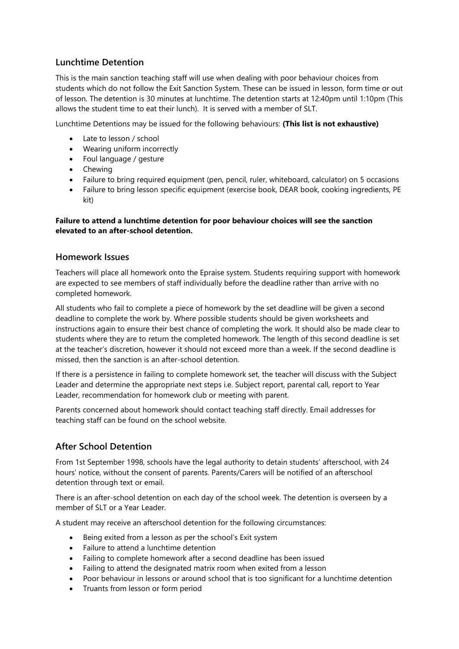# **Lunchtime Detention**

This is the main sanction teaching staff will use when dealing with poor behaviour choices from students which do not follow the Exit Sanction System. These can be issued in lesson, form time or out of lesson. The detention is 30 minutes at lunchtime. The detention starts at 12:40pm until 1:10pm (This allows the student time to eat their lunch). It is served with a member of SLT.

Lunchtime Detentions may be issued for the following behaviours: **(This list is not exhaustive)**

- Late to lesson / school
- Wearing uniform incorrectly
- Foul language / gesture
- Chewing
- Failure to bring required equipment (pen, pencil, ruler, whiteboard, calculator) on 5 occasions
- Failure to bring lesson specific equipment (exercise book, DEAR book, cooking ingredients, PE kit)

#### **Failure to attend a lunchtime detention for poor behaviour choices will see the sanction elevated to an after-school detention.**

#### **Homework Issues**

Teachers will place all homework onto the Epraise system. Students requiring support with homework are expected to see members of staff individually before the deadline rather than arrive with no completed homework.

All students who fail to complete a piece of homework by the set deadline will be given a second deadline to complete the work by. Where possible students should be given worksheets and instructions again to ensure their best chance of completing the work. It should also be made clear to students where they are to return the completed homework. The length of this second deadline is set at the teacher's discretion, however it should not exceed more than a week. If the second deadline is missed, then the sanction is an after-school detention.

If there is a persistence in failing to complete homework set, the teacher will discuss with the Subject Leader and determine the appropriate next steps i.e. Subject report, parental call, report to Year Leader, recommendation for homework club or meeting with parent.

Parents concerned about homework should contact teaching staff directly. Email addresses for teaching staff can be found on the school website.

#### **After School Detention**

From 1st September 1998, schools have the legal authority to detain students' afterschool, with 24 hours' notice, without the consent of parents. Parents/Carers will be notified of an afterschool detention through text or email.

There is an after-school detention on each day of the school week. The detention is overseen by a member of SLT or a Year Leader.

A student may receive an afterschool detention for the following circumstances:

- Being exited from a lesson as per the school's Exit system
- Failure to attend a lunchtime detention
- Failing to complete homework after a second deadline has been issued
- Failing to attend the designated matrix room when exited from a lesson
- Poor behaviour in lessons or around school that is too significant for a lunchtime detention
- Truants from lesson or form period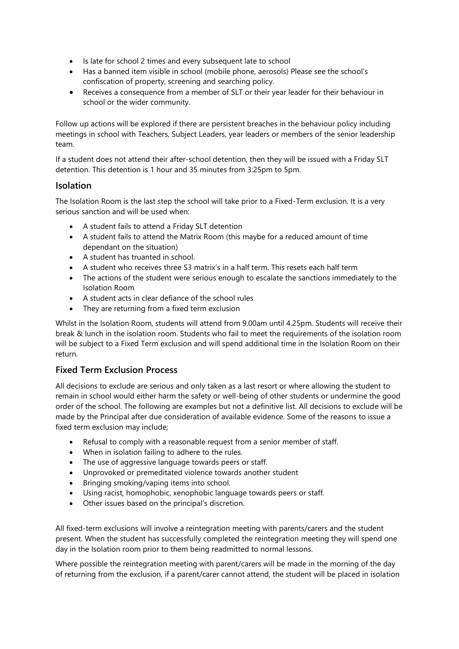- Is late for school 2 times and every subsequent late to school
- Has a banned item visible in school (mobile phone, aerosols) Please see the school's confiscation of property, screening and searching policy.
- Receives a consequence from a member of SLT or their year leader for their behaviour in school or the wider community.

Follow up actions will be explored if there are persistent breaches in the behaviour policy including meetings in school with Teachers, Subject Leaders, year leaders or members of the senior leadership team.

If a student does not attend their after-school detention, then they will be issued with a Friday SLT detention. This detention is 1 hour and 35 minutes from 3:25pm to 5pm.

#### **Isolation**

The Isolation Room is the last step the school will take prior to a Fixed-Term exclusion. It is a very serious sanction and will be used when:

- A student fails to attend a Friday SLT detention
- A student fails to attend the Matrix Room (this maybe for a reduced amount of time dependant on the situation)
- A student has truanted in school.
- A student who receives three S3 matrix's in a half term. This resets each half term
- The actions of the student were serious enough to escalate the sanctions immediately to the Isolation Room
- A student acts in clear defiance of the school rules
- They are returning from a fixed term exclusion

Whilst in the Isolation Room, students will attend from 9.00am until 4.25pm. Students will receive their break & lunch in the isolation room. Students who fail to meet the requirements of the isolation room will be subject to a Fixed Term exclusion and will spend additional time in the Isolation Room on their return.

#### **Fixed Term Exclusion Process**

All decisions to exclude are serious and only taken as a last resort or where allowing the student to remain in school would either harm the safety or well-being of other students or undermine the good order of the school. The following are examples but not a definitive list. All decisions to exclude will be made by the Principal after due consideration of available evidence. Some of the reasons to issue a fixed term exclusion may include;

- Refusal to comply with a reasonable request from a senior member of staff.
- When in isolation failing to adhere to the rules.
- The use of aggressive language towards peers or staff.
- Unprovoked or premeditated violence towards another student
- Bringing smoking/vaping items into school.
- Using racist, homophobic, xenophobic language towards peers or staff.
- Other issues based on the principal's discretion.

All fixed-term exclusions will involve a reintegration meeting with parents/carers and the student present. When the student has successfully completed the reintegration meeting they will spend one day in the Isolation room prior to them being readmitted to normal lessons.

Where possible the reintegration meeting with parent/carers will be made in the morning of the day of returning from the exclusion, if a parent/carer cannot attend, the student will be placed in isolation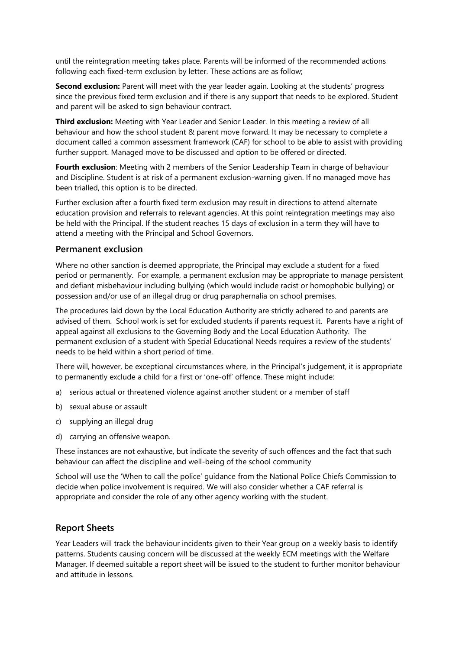until the reintegration meeting takes place. Parents will be informed of the recommended actions following each fixed-term exclusion by letter. These actions are as follow;

**Second exclusion:** Parent will meet with the year leader again. Looking at the students' progress since the previous fixed term exclusion and if there is any support that needs to be explored. Student and parent will be asked to sign behaviour contract.

**Third exclusion:** Meeting with Year Leader and Senior Leader. In this meeting a review of all behaviour and how the school student & parent move forward. It may be necessary to complete a document called a common assessment framework (CAF) for school to be able to assist with providing further support. Managed move to be discussed and option to be offered or directed.

**Fourth exclusion**: Meeting with 2 members of the Senior Leadership Team in charge of behaviour and Discipline. Student is at risk of a permanent exclusion-warning given. If no managed move has been trialled, this option is to be directed.

Further exclusion after a fourth fixed term exclusion may result in directions to attend alternate education provision and referrals to relevant agencies. At this point reintegration meetings may also be held with the Principal. If the student reaches 15 days of exclusion in a term they will have to attend a meeting with the Principal and School Governors.

#### **Permanent exclusion**

Where no other sanction is deemed appropriate, the Principal may exclude a student for a fixed period or permanently. For example, a permanent exclusion may be appropriate to manage persistent and defiant misbehaviour including bullying (which would include racist or homophobic bullying) or possession and/or use of an illegal drug or drug paraphernalia on school premises.

The procedures laid down by the Local Education Authority are strictly adhered to and parents are advised of them. School work is set for excluded students if parents request it. Parents have a right of appeal against all exclusions to the Governing Body and the Local Education Authority. The permanent exclusion of a student with Special Educational Needs requires a review of the students' needs to be held within a short period of time.

There will, however, be exceptional circumstances where, in the Principal's judgement, it is appropriate to permanently exclude a child for a first or 'one-off' offence. These might include:

- a) serious actual or threatened violence against another student or a member of staff
- b) sexual abuse or assault
- c) supplying an illegal drug
- d) carrying an offensive weapon.

These instances are not exhaustive, but indicate the severity of such offences and the fact that such behaviour can affect the discipline and well-being of the school community

School will use the 'When to call the police' guidance from the National Police Chiefs Commission to decide when police involvement is required. We will also consider whether a CAF referral is appropriate and consider the role of any other agency working with the student.

#### **Report Sheets**

Year Leaders will track the behaviour incidents given to their Year group on a weekly basis to identify patterns. Students causing concern will be discussed at the weekly ECM meetings with the Welfare Manager. If deemed suitable a report sheet will be issued to the student to further monitor behaviour and attitude in lessons.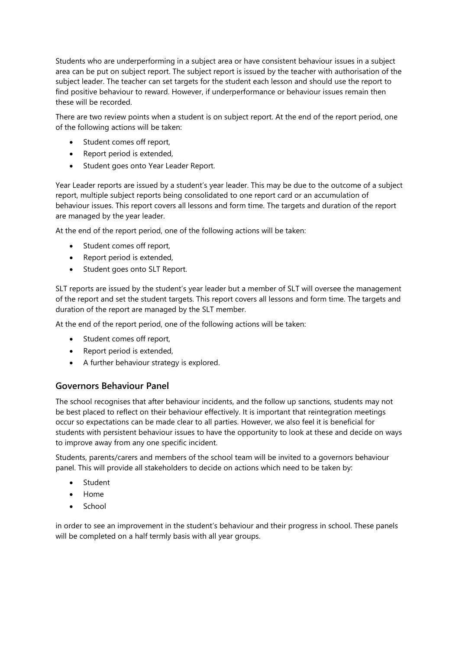Students who are underperforming in a subject area or have consistent behaviour issues in a subject area can be put on subject report. The subject report is issued by the teacher with authorisation of the subject leader. The teacher can set targets for the student each lesson and should use the report to find positive behaviour to reward. However, if underperformance or behaviour issues remain then these will be recorded.

There are two review points when a student is on subject report. At the end of the report period, one of the following actions will be taken:

- Student comes off report,
- Report period is extended,
- Student goes onto Year Leader Report.

Year Leader reports are issued by a student's year leader. This may be due to the outcome of a subject report, multiple subject reports being consolidated to one report card or an accumulation of behaviour issues. This report covers all lessons and form time. The targets and duration of the report are managed by the year leader.

At the end of the report period, one of the following actions will be taken:

- Student comes off report,
- Report period is extended,
- Student goes onto SLT Report.

SLT reports are issued by the student's year leader but a member of SLT will oversee the management of the report and set the student targets. This report covers all lessons and form time. The targets and duration of the report are managed by the SLT member.

At the end of the report period, one of the following actions will be taken:

- Student comes off report,
- Report period is extended,
- A further behaviour strategy is explored.

#### **Governors Behaviour Panel**

The school recognises that after behaviour incidents, and the follow up sanctions, students may not be best placed to reflect on their behaviour effectively. It is important that reintegration meetings occur so expectations can be made clear to all parties. However, we also feel it is beneficial for students with persistent behaviour issues to have the opportunity to look at these and decide on ways to improve away from any one specific incident.

Students, parents/carers and members of the school team will be invited to a governors behaviour panel. This will provide all stakeholders to decide on actions which need to be taken by:

- **Student**
- Home
- School

in order to see an improvement in the student's behaviour and their progress in school. These panels will be completed on a half termly basis with all year groups.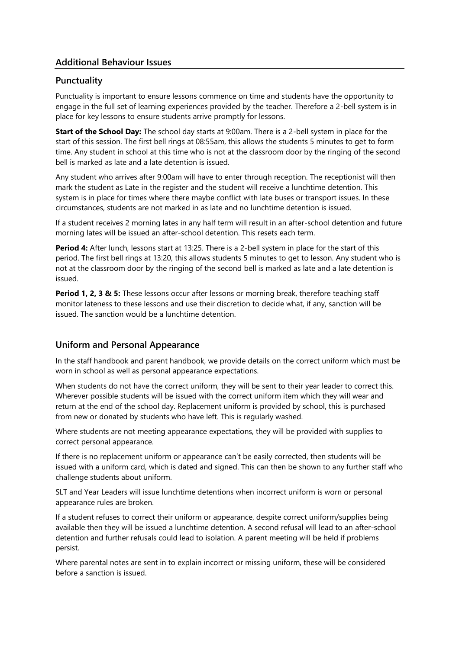# **Additional Behaviour Issues**

#### **Punctuality**

Punctuality is important to ensure lessons commence on time and students have the opportunity to engage in the full set of learning experiences provided by the teacher. Therefore a 2-bell system is in place for key lessons to ensure students arrive promptly for lessons.

**Start of the School Day:** The school day starts at 9:00am. There is a 2-bell system in place for the start of this session. The first bell rings at 08:55am, this allows the students 5 minutes to get to form time. Any student in school at this time who is not at the classroom door by the ringing of the second bell is marked as late and a late detention is issued.

Any student who arrives after 9:00am will have to enter through reception. The receptionist will then mark the student as Late in the register and the student will receive a lunchtime detention. This system is in place for times where there maybe conflict with late buses or transport issues. In these circumstances, students are not marked in as late and no lunchtime detention is issued.

If a student receives 2 morning lates in any half term will result in an after-school detention and future morning lates will be issued an after-school detention. This resets each term.

**Period 4:** After lunch, lessons start at 13:25. There is a 2-bell system in place for the start of this period. The first bell rings at 13:20, this allows students 5 minutes to get to lesson. Any student who is not at the classroom door by the ringing of the second bell is marked as late and a late detention is issued.

**Period 1, 2, 3 & 5:** These lessons occur after lessons or morning break, therefore teaching staff monitor lateness to these lessons and use their discretion to decide what, if any, sanction will be issued. The sanction would be a lunchtime detention.

#### **Uniform and Personal Appearance**

In the staff handbook and parent handbook, we provide details on the correct uniform which must be worn in school as well as personal appearance expectations.

When students do not have the correct uniform, they will be sent to their year leader to correct this. Wherever possible students will be issued with the correct uniform item which they will wear and return at the end of the school day. Replacement uniform is provided by school, this is purchased from new or donated by students who have left. This is regularly washed.

Where students are not meeting appearance expectations, they will be provided with supplies to correct personal appearance.

If there is no replacement uniform or appearance can't be easily corrected, then students will be issued with a uniform card, which is dated and signed. This can then be shown to any further staff who challenge students about uniform.

SLT and Year Leaders will issue lunchtime detentions when incorrect uniform is worn or personal appearance rules are broken.

If a student refuses to correct their uniform or appearance, despite correct uniform/supplies being available then they will be issued a lunchtime detention. A second refusal will lead to an after-school detention and further refusals could lead to isolation. A parent meeting will be held if problems persist.

Where parental notes are sent in to explain incorrect or missing uniform, these will be considered before a sanction is issued.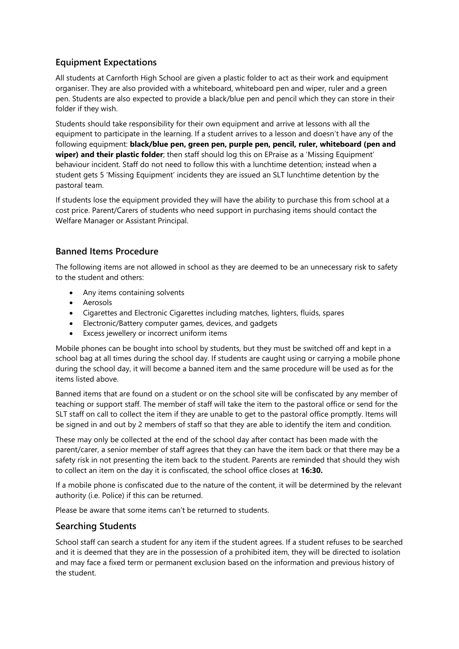# **Equipment Expectations**

All students at Carnforth High School are given a plastic folder to act as their work and equipment organiser. They are also provided with a whiteboard, whiteboard pen and wiper, ruler and a green pen. Students are also expected to provide a black/blue pen and pencil which they can store in their folder if they wish.

Students should take responsibility for their own equipment and arrive at lessons with all the equipment to participate in the learning. If a student arrives to a lesson and doesn't have any of the following equipment: **black/blue pen, green pen, purple pen, pencil, ruler, whiteboard (pen and wiper) and their plastic folder**; then staff should log this on EPraise as a 'Missing Equipment' behaviour incident. Staff do not need to follow this with a lunchtime detention; instead when a student gets 5 'Missing Equipment' incidents they are issued an SLT lunchtime detention by the pastoral team.

If students lose the equipment provided they will have the ability to purchase this from school at a cost price. Parent/Carers of students who need support in purchasing items should contact the Welfare Manager or Assistant Principal.

# **Banned Items Procedure**

The following items are not allowed in school as they are deemed to be an unnecessary risk to safety to the student and others:

- Any items containing solvents
- Aerosols
- Cigarettes and Electronic Cigarettes including matches, lighters, fluids, spares
- Electronic/Battery computer games, devices, and gadgets
- Excess jewellery or incorrect uniform items

Mobile phones can be bought into school by students, but they must be switched off and kept in a school bag at all times during the school day. If students are caught using or carrying a mobile phone during the school day, it will become a banned item and the same procedure will be used as for the items listed above.

Banned items that are found on a student or on the school site will be confiscated by any member of teaching or support staff. The member of staff will take the item to the pastoral office or send for the SLT staff on call to collect the item if they are unable to get to the pastoral office promptly. Items will be signed in and out by 2 members of staff so that they are able to identify the item and condition.

These may only be collected at the end of the school day after contact has been made with the parent/carer, a senior member of staff agrees that they can have the item back or that there may be a safety risk in not presenting the item back to the student. Parents are reminded that should they wish to collect an item on the day it is confiscated, the school office closes at **16:30.** 

If a mobile phone is confiscated due to the nature of the content, it will be determined by the relevant authority (i.e. Police) if this can be returned.

Please be aware that some items can't be returned to students.

#### **Searching Students**

School staff can search a student for any item if the student agrees. If a student refuses to be searched and it is deemed that they are in the possession of a prohibited item, they will be directed to isolation and may face a fixed term or permanent exclusion based on the information and previous history of the student.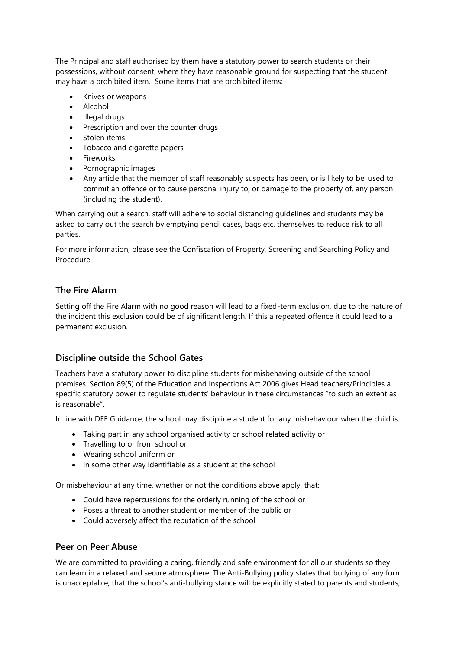The Principal and staff authorised by them have a statutory power to search students or their possessions, without consent, where they have reasonable ground for suspecting that the student may have a prohibited item. Some items that are prohibited items:

- Knives or weapons
- Alcohol
- Illegal drugs
- Prescription and over the counter drugs
- Stolen items
- Tobacco and cigarette papers
- Fireworks
- Pornographic images
- Any article that the member of staff reasonably suspects has been, or is likely to be, used to commit an offence or to cause personal injury to, or damage to the property of, any person (including the student).

When carrying out a search, staff will adhere to social distancing guidelines and students may be asked to carry out the search by emptying pencil cases, bags etc. themselves to reduce risk to all parties.

For more information, please see the Confiscation of Property, Screening and Searching Policy and Procedure.

#### **The Fire Alarm**

Setting off the Fire Alarm with no good reason will lead to a fixed-term exclusion, due to the nature of the incident this exclusion could be of significant length. If this a repeated offence it could lead to a permanent exclusion.

#### **Discipline outside the School Gates**

Teachers have a statutory power to discipline students for misbehaving outside of the school premises. Section 89(5) of the Education and Inspections Act 2006 gives Head teachers/Principles a specific statutory power to regulate students' behaviour in these circumstances "to such an extent as is reasonable".

In line with DFE Guidance, the school may discipline a student for any misbehaviour when the child is:

- Taking part in any school organised activity or school related activity or
- Travelling to or from school or
- Wearing school uniform or
- in some other way identifiable as a student at the school

Or misbehaviour at any time, whether or not the conditions above apply, that:

- Could have repercussions for the orderly running of the school or
- Poses a threat to another student or member of the public or
- Could adversely affect the reputation of the school

#### **Peer on Peer Abuse**

We are committed to providing a caring, friendly and safe environment for all our students so they can learn in a relaxed and secure atmosphere. The Anti-Bullying policy states that bullying of any form is unacceptable, that the school's anti-bullying stance will be explicitly stated to parents and students,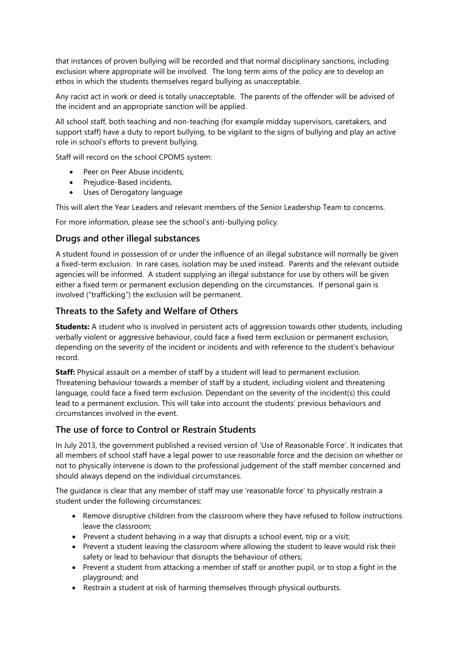that instances of proven bullying will be recorded and that normal disciplinary sanctions, including exclusion where appropriate will be involved. The long term aims of the policy are to develop an ethos in which the students themselves regard bullying as unacceptable.

Any racist act in work or deed is totally unacceptable. The parents of the offender will be advised of the incident and an appropriate sanction will be applied.

All school staff, both teaching and non-teaching (for example midday supervisors, caretakers, and support staff) have a duty to report bullying, to be vigilant to the signs of bullying and play an active role in school's efforts to prevent bullying.

Staff will record on the school CPOMS system:

- Peer on Peer Abuse incidents,
- Prejudice-Based incidents,
- Uses of Derogatory language

This will alert the Year Leaders and relevant members of the Senior Leadership Team to concerns.

For more information, please see the school's anti-bullying policy.

#### **Drugs and other illegal substances**

A student found in possession of or under the influence of an illegal substance will normally be given a fixed-term exclusion. In rare cases, isolation may be used instead. Parents and the relevant outside agencies will be informed. A student supplying an illegal substance for use by others will be given either a fixed term or permanent exclusion depending on the circumstances. If personal gain is involved ("trafficking") the exclusion will be permanent.

#### **Threats to the Safety and Welfare of Others**

**Students:** A student who is involved in persistent acts of aggression towards other students, including verbally violent or aggressive behaviour, could face a fixed term exclusion or permanent exclusion, depending on the severity of the incident or incidents and with reference to the student's behaviour record.

**Staff:** Physical assault on a member of staff by a student will lead to permanent exclusion. Threatening behaviour towards a member of staff by a student, including violent and threatening language, could face a fixed term exclusion. Dependant on the severity of the incident(s) this could lead to a permanent exclusion. This will take into account the students' previous behaviours and circumstances involved in the event.

#### **The use of force to Control or Restrain Students**

In July 2013, the government published a revised version of 'Use of Reasonable Force'. It indicates that all members of school staff have a legal power to use reasonable force and the decision on whether or not to physically intervene is down to the professional judgement of the staff member concerned and should always depend on the individual circumstances.

The guidance is clear that any member of staff may use 'reasonable force' to physically restrain a student under the following circumstances:

- Remove disruptive children from the classroom where they have refused to follow instructions leave the classroom;
- Prevent a student behaving in a way that disrupts a school event, trip or a visit;
- Prevent a student leaving the classroom where allowing the student to leave would risk their safety or lead to behaviour that disrupts the behaviour of others;
- Prevent a student from attacking a member of staff or another pupil, or to stop a fight in the playground; and
- Restrain a student at risk of harming themselves through physical outbursts.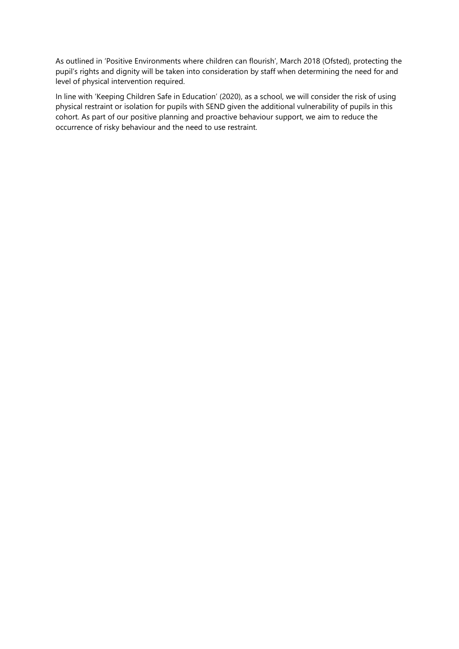As outlined in 'Positive Environments where children can flourish', March 2018 (Ofsted), protecting the pupil's rights and dignity will be taken into consideration by staff when determining the need for and level of physical intervention required.

In line with 'Keeping Children Safe in Education' (2020), as a school, we will consider the risk of using physical restraint or isolation for pupils with SEND given the additional vulnerability of pupils in this cohort. As part of our positive planning and proactive behaviour support, we aim to reduce the occurrence of risky behaviour and the need to use restraint.